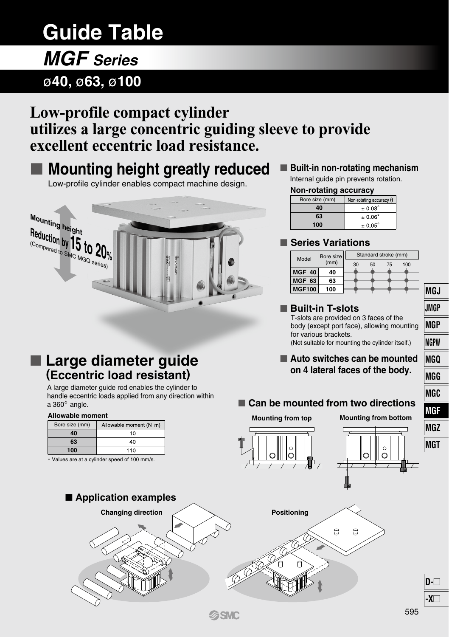# **Guide Table**

# ø**40,** ø**63,** ø**100** *MGF Series*

**Allowable moment** Bore size (mm) **40 63 100**

∗ Values are at a cylinder speed of 100 mm/s.

a  $360^\circ$  angle.

 **Large diameter guide (Eccentric load resistant)** A large diameter guide rod enables the cylinder to handle eccentric loads applied from any direction within

> Allowable moment (N m)  $\overline{10}$  $40$  $110$

# **Low-profile compact cylinder utilizes a large concentric guiding sleeve to provide excellent eccentric load resistance.**

# **Mounting height greatly reduced**

Low-profile cylinder enables compact machine design.



## ■ Built-in non-rotating mechanism

Internal guide pin prevents rotation.

#### **Non-rotating accuracy**

| Bore size (mm) | Non-rotating accuracy $\theta$ |
|----------------|--------------------------------|
| 10             | $\pm 0.08^\circ$               |
| 63             | $\pm 0.06^\circ$               |
| 100            | $\pm 0.05^{\circ}$             |

### **Series Variations**

| Model         | Bore size |    |    | Standard stroke (mm) |     |  |  |
|---------------|-----------|----|----|----------------------|-----|--|--|
|               | (mm)      | 30 | 50 | 75                   | 100 |  |  |
| MGF 40        | 40        |    |    |                      |     |  |  |
| MGF 63        | 63        |    |    |                      |     |  |  |
| <b>MGF100</b> | 100       |    |    |                      |     |  |  |

### **Built-in T-slots**

T-slots are provided on 3 faces of the body (except port face), allowing mounting for various brackets. (Not suitable for mounting the cylinder itself.)

### **Auto switches can be mounted on 4 lateral faces of the body.**

### ■ Can be mounted from two directions

**Mounting from top Mounting from bottom**









**A**SMC

**JMGP MGP MGPW MGQ MGG MGC MGF MGZ MGT**

**MGJ**

**D- -X**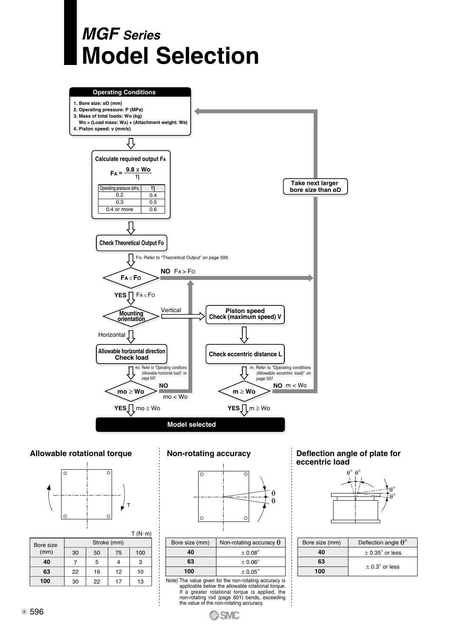



#### **Allowable rotational torque**



| Bore size | Stroke (mm) |    |    |     |  |  |  |
|-----------|-------------|----|----|-----|--|--|--|
| (mm)      | 30          | 50 | 75 | 100 |  |  |  |
| 40        |             | 5  |    | 3   |  |  |  |
| 63        | 22          | 16 | 12 | 10  |  |  |  |
| 100       | 30          | 22 | 17 | 13  |  |  |  |

 $T(N \cdot m)$ 

#### **Non-rotating accuracy**



| Bore size (mm) | Non-rotating accuracy $\theta$ |
|----------------|--------------------------------|
| 40             | $\pm$ 0.08 $^{\circ}$          |
| 63             | $\pm 0.06^{\circ}$             |
| 100            | $\pm 0.05^{\circ}$             |

Note) The value given for the non-rotating accuracy is<br>applicable below the allowable rotational torque.<br>If a greater rotational torque is applied, the<br>non-rotating rod (page 601) bends, exceeding<br>the value of the non-rota

#### **Deflection angle of plate for eccentric load**



| Bore size (mm) | Deflection angle $\theta^{\circ}$ |  |  |  |
|----------------|-----------------------------------|--|--|--|
| 40             | $\pm$ 0.35 $^{\circ}$ or less     |  |  |  |
| 63             | $+0.3^\circ$ or less              |  |  |  |
| 100            |                                   |  |  |  |

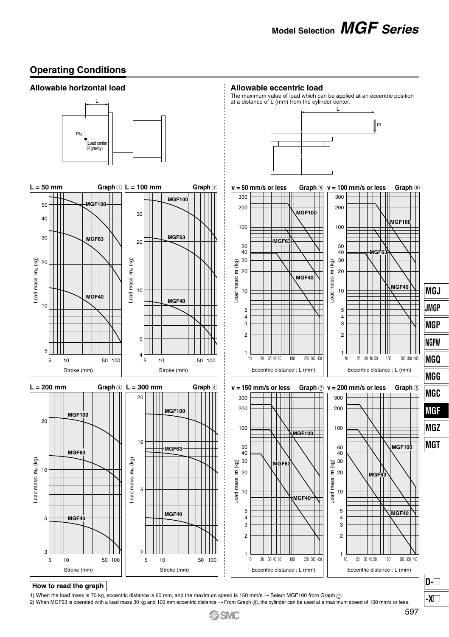### **Operating Conditions**



#### **How to read the graph**

1) When the load mass is 70 kg, eccentric distance is 60 mm, and the maximum speed is 150 mm/s  $\rightarrow$  Select MGF100 from Graph  $\odot$ .

2) When MGF63 is operated with a load mass 30 kg and 100 mm eccentric distance  $\rightarrow$  From Graph  $\circledast$ , the cylinder can be used at a maximum speed of 100 mm/s or less.



**-X**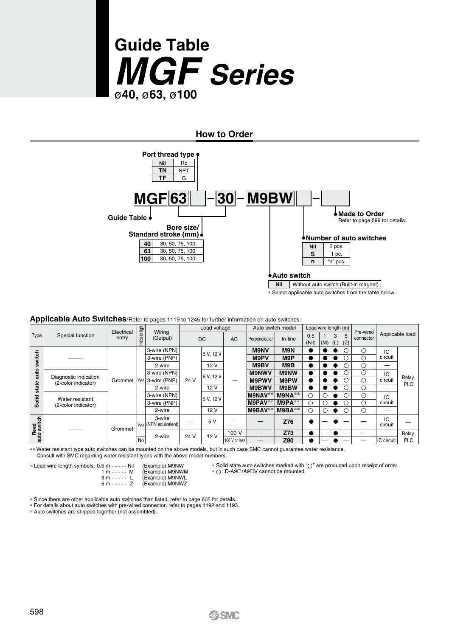

**How to Order**



∗ Select applicable auto switches from the table below.

#### **Applicable Auto Switches**/Refer to pages 1119 to 1245 for further information on auto switches.

|                          |                                              |                     |                 |                                 |      | Load voltage |               |               | Auto switch model | Lead wire length (m) |               |      |   |                        |                 |            |         |           |            |   |     |  |   |         |  |  |  |  |  |              |             |   |  |  |  |   |    |  |
|--------------------------|----------------------------------------------|---------------------|-----------------|---------------------------------|------|--------------|---------------|---------------|-------------------|----------------------|---------------|------|---|------------------------|-----------------|------------|---------|-----------|------------|---|-----|--|---|---------|--|--|--|--|--|--------------|-------------|---|--|--|--|---|----|--|
| Type                     | Special function                             | Electrical<br>entry | Indicator light | Wiring<br>(Output)              |      | DC           | <b>AC</b>     | Perpendicular | In-line           | 0.5<br>(Nil)         | (M)  (L)  (Z) | 3    | 5 | Pre-wired<br>connector | Applicable load |            |         |           |            |   |     |  |   |         |  |  |  |  |  |              |             |   |  |  |  |   |    |  |
|                          |                                              |                     |                 | 3-wire (NPN)                    |      | 5 V. 12 V    |               | <b>M9NV</b>   | M9N               |                      |               |      |   | С                      | IC              |            |         |           |            |   |     |  |   |         |  |  |  |  |  |              |             |   |  |  |  |   |    |  |
| witch                    |                                              |                     |                 | 3-wire (PNP)                    |      |              |               | M9PV          | M9P               |                      |               |      |   | C                      | circuit         |            |         |           |            |   |     |  |   |         |  |  |  |  |  |              |             |   |  |  |  |   |    |  |
| S                        |                                              |                     |                 | 2-wire                          |      | 12V          |               | M9BV          | M9B               |                      |               |      |   | Ċ                      | –               |            |         |           |            |   |     |  |   |         |  |  |  |  |  |              |             |   |  |  |  |   |    |  |
| auto                     |                                              |                     |                 | 3-wire (NPN)                    | 24 V |              |               |               |                   |                      |               |      |   |                        |                 |            |         | 5 V. 12 V |            |   |     |  |   |         |  |  |  |  |  | <b>M9NWV</b> | <b>M9NW</b> | D |  |  |  | Ć | IC |  |
|                          | Diagnostic indication<br>(2-color indicator) | Grommet             | <b>IYes</b>     | 3-wire (PNP)                    |      |              |               | <b>M9PWV</b>  | M9PW              | ۰                    |               |      |   | C                      | circuit         | Relay,     |         |           |            |   |     |  |   |         |  |  |  |  |  |              |             |   |  |  |  |   |    |  |
| state                    |                                              |                     |                 | 2-wire                          |      |              |               |               | 12 V              |                      | M9BWV         | M9BW |   |                        |                 |            | C       | -         | <b>PLC</b> |   |     |  |   |         |  |  |  |  |  |              |             |   |  |  |  |   |    |  |
|                          | Water resistant                              |                     |                 | 3-wire (NPN)                    |      |              |               |               |                   | 5 V. 12 V            |               |      |   | M9NAV**                | $M9NA**$        | O          |         |           |            | Ć | IC. |  |   |         |  |  |  |  |  |              |             |   |  |  |  |   |    |  |
| Solid                    | (2-color indicator)                          |                     |                 | 3-wire (PNP)                    |      |              |               |               |                   |                      |               |      |   |                        |                 |            | M9PAV** | $M9PA**$  | O          |   |     |  | C | circuit |  |  |  |  |  |              |             |   |  |  |  |   |    |  |
|                          |                                              |                     |                 | 2-wire                          |      | 12V          |               | M9BAV*        | $M9BA**$          | Ō                    | С             |      |   | Ċ                      | –               |            |         |           |            |   |     |  |   |         |  |  |  |  |  |              |             |   |  |  |  |   |    |  |
| Reed<br>o switch<br>auto |                                              |                     |                 | 3-wire<br>lyes (NPN equivalent) |      | 5 V          |               |               | Z76               |                      |               |      |   |                        | IC<br>circuit   |            |         |           |            |   |     |  |   |         |  |  |  |  |  |              |             |   |  |  |  |   |    |  |
|                          |                                              | Grommet             |                 | 2-wire                          | 24 V | 12 V         | 100 V         | –             | Z73               |                      |               |      |   |                        |                 | Relay,     |         |           |            |   |     |  |   |         |  |  |  |  |  |              |             |   |  |  |  |   |    |  |
|                          |                                              |                     | No              |                                 |      |              | 100 V or less |               | Z80               |                      |               |      |   | -                      | IC circuit      | <b>PLC</b> |         |           |            |   |     |  |   |         |  |  |  |  |  |              |             |   |  |  |  |   |    |  |

∗∗ Water resistant type auto switches can be mounted on the above models, but in such case SMC cannot guarantee water resistance. Consult with SMC regarding water resistant types with the above model numbers.

∗ Lead wire length symbols: 0.5 m ·········· Nil

| 5 m ……… Nil  | (Example) M9NW  |
|--------------|-----------------|
| 1 m  M       | (Example) M9NWM |
| 3 m<br>ш     | (Example) M9NWL |
| 5 m ………<br>z | (Example) M9NWZ |

∗ Solid state auto switches marked with " " are produced upon receipt of order. \* O: D-A9⊡/A9□V cannot be mounted.

∗ Since there are other applicable auto switches than listed, refer to page 605 for details.

∗ For details about auto switches with pre-wired connector, refer to pages 1192 and 1193.

∗ Auto switches are shipped together (not assembled).

**GSMC**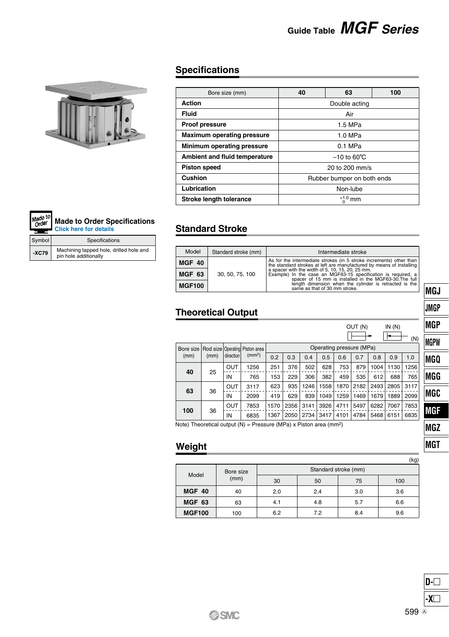# **Guide Table** *MGF Series*



**-XC79**

Made to<br>Order ۰.

Symbol Specifications

Machining tapped hole, drilled hole and pin hole additionally

**[Made to Order Specifications](http://www.smcworld.com/products/en/custom.do) Click here for details**

|  | <b>Specifications</b> |
|--|-----------------------|
|  |                       |

| Bore size (mm)                    | 40                         | 63            | 100 |  |  |  |
|-----------------------------------|----------------------------|---------------|-----|--|--|--|
| Action                            |                            | Double acting |     |  |  |  |
| Fluid                             |                            | Air           |     |  |  |  |
| Proof pressure                    | 1.5 MPa                    |               |     |  |  |  |
| <b>Maximum operating pressure</b> |                            |               |     |  |  |  |
| Minimum operating pressure        | $0.1$ MPa                  |               |     |  |  |  |
| Ambient and fluid temperature     | $-10$ to 60 $\degree$ C    |               |     |  |  |  |
| <b>Piston speed</b>               | 20 to 200 mm/s             |               |     |  |  |  |
| Cushion                           | Rubber bumper on both ends |               |     |  |  |  |
| Lubrication                       | Non-lube                   |               |     |  |  |  |
| <b>Stroke length tolerance</b>    | $+1.0$ mm                  |               |     |  |  |  |

### **Standard Stroke**

| Model<br>Standard stroke (mm) |                 | Intermediate stroke                                                                                                                                                         |
|-------------------------------|-----------------|-----------------------------------------------------------------------------------------------------------------------------------------------------------------------------|
| MGF 40                        |                 | As for the intermediate strokes (in 5 stroke increments) other than<br>the standard strokes at left are manufactured by means of installing                                 |
| MGF 63                        | 30, 50, 75, 100 | a spacer with the width of 5, 10, 15, 20, 25 mm.<br>Example) In the case an MGF63-15 specification is required, a<br>spacer of 15 mm is installed in the MGF63-30. The full |
| <b>MGF100</b>                 |                 | length dimension when the cylinder is retracted is the<br>same as that of 30 mm stroke.                                                                                     |

### **Theoretical Output**

|           |      |            |                                  |      |      |      |      |                          | OUT (N) |      | IN(N) |      | IN |
|-----------|------|------------|----------------------------------|------|------|------|------|--------------------------|---------|------|-------|------|----|
|           |      |            |                                  |      |      |      |      |                          |         |      |       | (N)  | IN |
| Bore size |      |            | Rod size   Operating Piston area |      |      |      |      | Operating pressure (MPa) |         |      |       |      |    |
| (mm)      | (mm) | direction  | (mm <sup>2</sup> )               | 0.2  | 0.3  | 0.4  | 0.5  | 0.6                      | 0.7     | 0.8  | 0.9   | 1.0  | IN |
|           |      | OUT        | 1256                             | 251  | 376  | 502  | 628  | 753                      | 879     | 1004 | 1130  | 1256 |    |
| 40<br>25  |      | ΙN         | 765                              | 153  | 229  | 306  | 382  | 459                      | 535     | 612  | 688   | 765  | I  |
| 63        | 36   | OUT        | 3117                             | 623  | 935  | 1246 | 1558 | 1870                     | 2182    | 2493 | 2805  | 3117 |    |
|           |      | ΙN         | 2099                             | 419  | 629  | 839  | 1049 | 1259                     | 1469    | 1679 | 1889  | 2099 | IN |
| 100       | 36   | <b>OUT</b> | 7853                             | 1570 | 2356 | 3141 | 3926 | 4711                     | 5497    | 6282 | 7067  | 7853 |    |
|           |      | ΙN         | 6835                             | 1367 | 2050 | 2734 | 3417 | 4101                     | 4784    | 5468 | 6151  | 6835 |    |
|           |      |            |                                  |      |      |      |      | <b>Section</b>           |         |      |       |      |    |

Note) Theoretical output  $(N)$  = Pressure (MPa) x Piston area (mm<sup>2</sup>)

### **Weight**

|               |           |     |                      |     | (kg) |  |  |  |  |
|---------------|-----------|-----|----------------------|-----|------|--|--|--|--|
| Model         | Bore size |     | Standard stroke (mm) |     |      |  |  |  |  |
|               | (mm)      | 30  | 50                   | 75  | 100  |  |  |  |  |
| <b>MGF 40</b> | 40        | 2.0 | 2.4                  | 3.0 | 3.6  |  |  |  |  |
| <b>MGF 63</b> | 63        | 4.1 | 4.8                  | 5.7 | 6.6  |  |  |  |  |
| <b>MGF100</b> | 100       | 6.2 | 7.2                  | 8.4 | 9.6  |  |  |  |  |



**D-**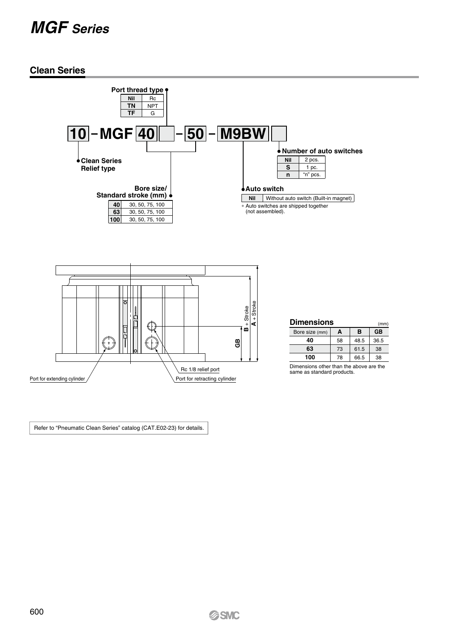# *MGF Series*

#### **Clean Series**



Rc 1/8 relief port

| 100                                     |                            | 78 66.5 38 |  |  |  |  |  |
|-----------------------------------------|----------------------------|------------|--|--|--|--|--|
| Dimensions other than the above are the |                            |            |  |  |  |  |  |
|                                         | same as standard products. |            |  |  |  |  |  |

(mm)

Refer to "Pneumatic Clean Series" catalog (CAT.E02-23) for details.

Port for extending cylinder / Port for retracting cylinder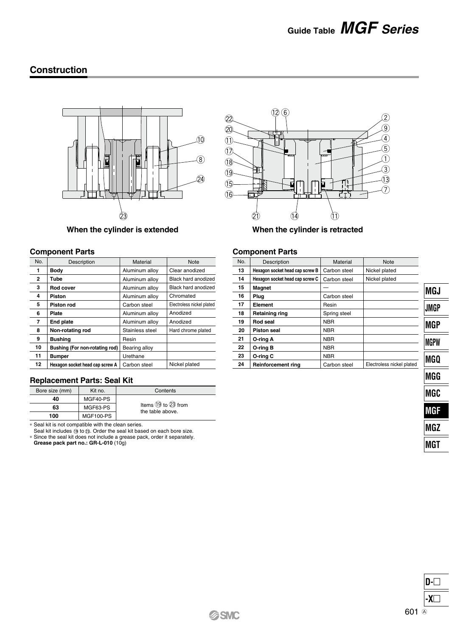### **Construction**



#### **When the cylinder is extended When the cylinder is retracted**

#### **Component Parts**

| No.            | Description                     | Material        | <b>Note</b>               | No. |
|----------------|---------------------------------|-----------------|---------------------------|-----|
| 1              | Body                            | Aluminum alloy  | Clear anodized            | 13  |
| $\overline{2}$ | Tube                            | Aluminum allov  | Black hard anodized       | 14  |
| 3              | Rod cover                       | Aluminum alloy  | Black hard anodized       | 15  |
| 4              | Piston                          | Aluminum allov  | Chromated                 | 16  |
| 5              | Piston rod                      | Carbon steel    | Electroless nickel plated | 17  |
| 6              | <b>Plate</b>                    | Aluminum allov  | Anodized                  | 18  |
| $\overline{7}$ | End plate                       | Aluminum allov  | Anodized                  | 19  |
| 8              | Non-rotating rod                | Stainless steel | Hard chrome plated        | 20  |
| 9              | <b>Bushing</b>                  | Resin           |                           | 21  |
| 10             | Bushing (For non-rotating rod)  | Bearing alloy   |                           | 22  |
| 11             | <b>Bumper</b>                   | Urethane        |                           | 23  |
| 12             | Hexagon socket head cap screw A | Carbon steel    | Nickel plated             | 24  |

#### **Replacement Parts: Seal Kit**

| Bore size (mm) | Kit no.          | Contents                                        |  |  |  |
|----------------|------------------|-------------------------------------------------|--|--|--|
| 40             | MGF40-PS         |                                                 |  |  |  |
| 63             | MGF63-PS         | Items $(19)$ to $(23)$ from<br>the table above. |  |  |  |
| 100            | <b>MGF100-PS</b> |                                                 |  |  |  |

∗ Seal kit is not compatible with the clean series. Seal kit includes to . Order the seal kit based on each bore size.

∗ Since the seal kit does not include a grease pack, order it separately. **Grease pack part no.: GR-L-010** (10g)



#### **Component Parts**

| Description                     | Material     | Note                      |
|---------------------------------|--------------|---------------------------|
| Hexagon socket head cap screw B | Carbon steel | Nickel plated             |
| Hexagon socket head cap screw C | Carbon steel | Nickel plated             |
| Magnet                          |              |                           |
| Plua                            | Carbon steel |                           |
| Element                         | Resin        |                           |
| Retaining ring                  | Spring steel |                           |
| Rod seal                        | <b>NBR</b>   |                           |
| Piston seal                     | <b>NBR</b>   |                           |
| O-rina A                        | <b>NBR</b>   |                           |
| O-ring B                        | <b>NBR</b>   |                           |
| O-ring C                        | <b>NBR</b>   |                           |
| <b>Reinforcement ring</b>       | Carbon steel | Electroless nickel plated |
|                                 |              |                           |

**MGJ JMGP MGP MGPW MGQ MGG MGC MGF MGZ MGT**

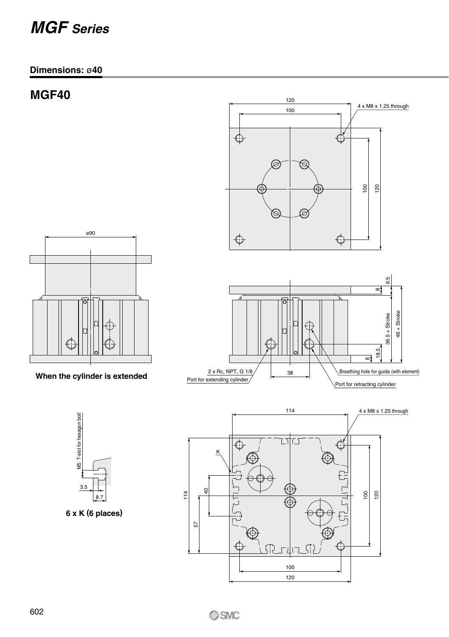# *MGF Series*

### **Dimensions:** ø**40**

# **MGF40**





**When the cylinder is extended**



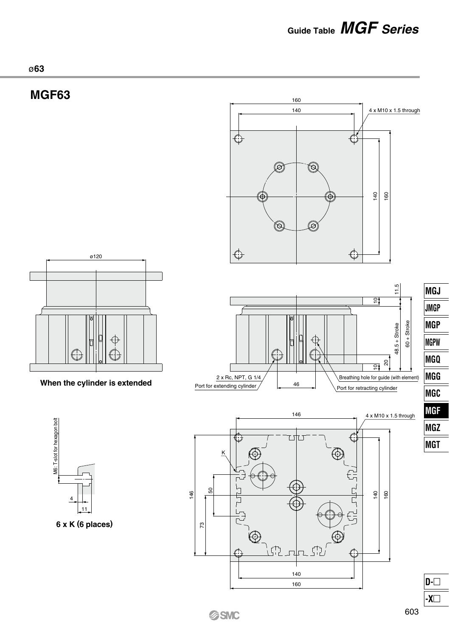**Guide Table** *MGF Series*



# **MGF63**





**When the cylinder is extended**



**6 x K (6 places)**







**MGJ**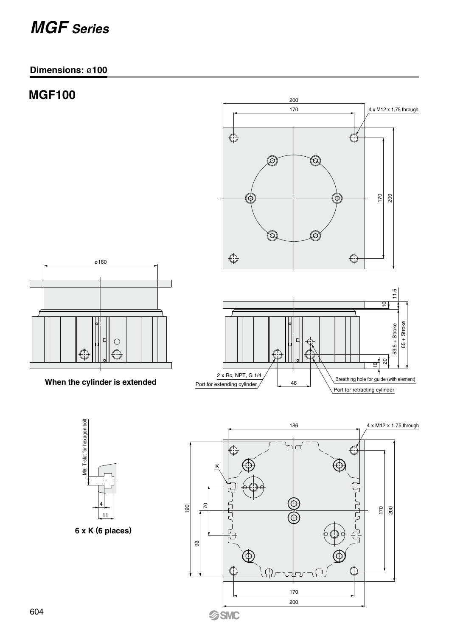# *MGF Series*

### **Dimensions:** ø**100**

# **MGF100**





**When the cylinder is extended**





**6 x K (6 places)**

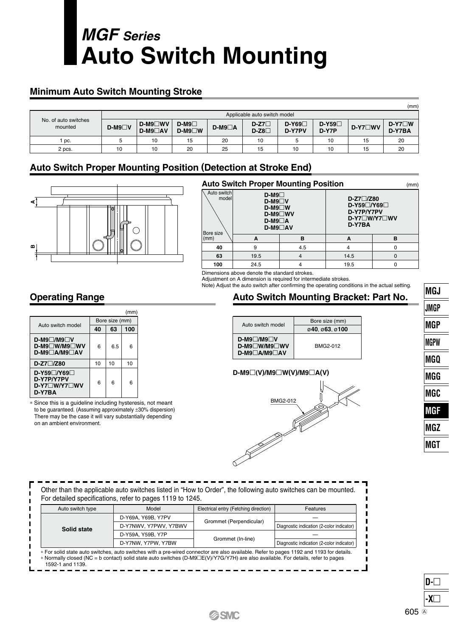# **Auto Switch Mounting** *MGF Series*

### **Minimum Auto Switch Mounting Stroke**

|                                 |         |                                  |                        |          |                  |                   |                  |                | (mm)                     |
|---------------------------------|---------|----------------------------------|------------------------|----------|------------------|-------------------|------------------|----------------|--------------------------|
|                                 |         | Applicable auto switch model     |                        |          |                  |                   |                  |                |                          |
| No. of auto switches<br>mounted | $D-M9W$ | <b>D-M9</b> □WV<br>$D-M9\Box AV$ | $D-M9$<br>$D-M9\Box W$ | $D-M9AA$ | $D-Z7$<br>$D-Z8$ | $D-Y69$<br>D-Y7PV | $D-Y59$<br>D-Y7P | $D-YZ \Box WV$ | $D- Y7 \Box W$<br>D-Y7BA |
| DC.                             |         | 10                               | 15                     | 20       | 10               |                   | 10               | 15             | 20                       |
| 2 pcs.                          | 10      | 10                               | 20                     | 25       | 15               | 10                | 10               | 15             | 20                       |

### **Auto Switch Proper Mounting Position (Detection at Stroke End)**



|                                   | <b>Auto Switch Proper Mounting Position</b>                                             |     |                                                             |                          |  |  |
|-----------------------------------|-----------------------------------------------------------------------------------------|-----|-------------------------------------------------------------|--------------------------|--|--|
| Auto switch<br>model<br>Bore size | $D-M9$<br>$D-M9\Box V$<br>$D-M9\Box W$<br><b>D-M9</b> ∩WV<br>$D-M90$<br><b>D-M9</b> □AV |     | $D-Z7$ $Z80$<br>$D-Y59\Box/Y69\Box$<br>D-Y7P/Y7PV<br>D-Y7BA | $D-YZ \Box W/YZ \Box WV$ |  |  |
| (mm)                              | A                                                                                       | в   | A                                                           | в                        |  |  |
| 40                                | 9                                                                                       | 4.5 |                                                             |                          |  |  |
| 63                                | 19.5                                                                                    |     | 14.5                                                        |                          |  |  |
| 100                               | 24.5                                                                                    |     | 19.5                                                        |                          |  |  |

Dimensions above denote the standard strokes. Adjustment on A dimension is required for intermediate strokes.

Note) Adjust the auto switch after confirming the operating conditions in the actual setting.

### **Operating Range**

|                                                                          |                |     | (mm |
|--------------------------------------------------------------------------|----------------|-----|-----|
| Auto switch model                                                        | Bore size (mm) |     |     |
|                                                                          | 40             | 63  | 100 |
| $D-M9$ $M9$ $\neg$ V<br><b>D-M9</b> □W/M9□WV<br><b>D-M9</b> □A/M9□AV     | 6              | 6.5 | 6   |
| $D-Z7$ $Z80$                                                             | 10             | 10  | 10  |
| D-Y59□/Y69□<br><b>D-Y7P/Y7PV</b><br><b>D-Y7□W/Y7□WV</b><br><b>D-Y7BA</b> | 6              | 6   | 6   |

∗ Since this is a guideline including hysteresis, not meant to be guaranteed. (Assuming approximately ±30% dispersion) There may be the case it will vary substantially depending on an ambient environment.

### **Auto Switch Mounting Bracket: Part No.**

|                                                             | Bore size (mm) |
|-------------------------------------------------------------|----------------|
| Auto switch model                                           |                |
|                                                             | 040.063.0100   |
| $D-M9$ /M9 V<br><b>D-M9</b> W/M9 WV<br><b>D-M9</b> □A/M9□AV | BMG2-012       |

#### **D-M9(V)/M9W(V)/M9A(V)**



| Auto switch type                                                                     | Model                 | Electrical entry (Fetching direction) | Features                                  |  |  |  |  |
|--------------------------------------------------------------------------------------|-----------------------|---------------------------------------|-------------------------------------------|--|--|--|--|
|                                                                                      | D-Y69A, Y69B, Y7PV    |                                       |                                           |  |  |  |  |
| Solid state                                                                          | D-Y7NWV, Y7PWV, Y7BWV | Grommet (Perpendicular)               | Diagnostic indication (2-color indicator) |  |  |  |  |
|                                                                                      | D-Y59A, Y59B, Y7P     |                                       |                                           |  |  |  |  |
| Grommet (In-line)<br>D-Y7NW, Y7PW, Y7BW<br>Diagnostic indication (2-color indicator) |                       |                                       |                                           |  |  |  |  |



**JMGP MGP MGPW MGQ MGG MGC MGF MGZ MGT**

**MGJ**